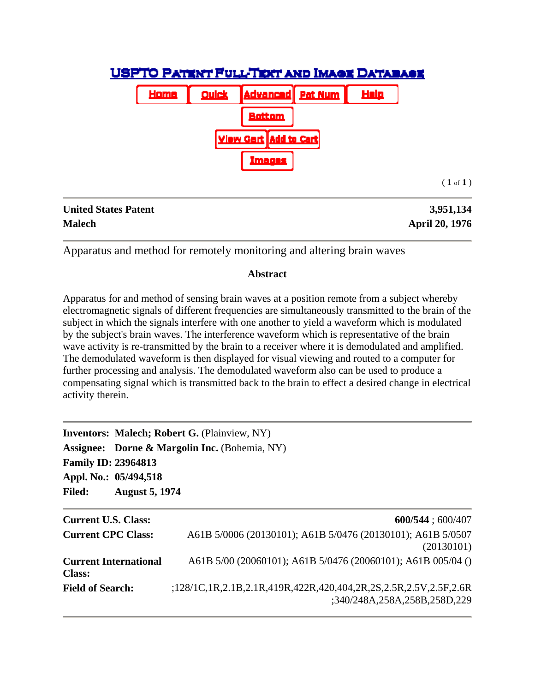

| <b>United States Patent</b> | 3,951,134             |
|-----------------------------|-----------------------|
| <b>Malech</b>               | <b>April 20, 1976</b> |

Apparatus and method for remotely monitoring and altering brain waves

### **Abstract**

Apparatus for and method of sensing brain waves at a position remote from a subject whereby electromagnetic signals of different frequencies are simultaneously transmitted to the brain of the subject in which the signals interfere with one another to yield a waveform which is modulated by the subject's brain waves. The interference waveform which is representative of the brain wave activity is re-transmitted by the brain to a receiver where it is demodulated and amplified. The demodulated waveform is then displayed for visual viewing and routed to a computer for further processing and analysis. The demodulated waveform also can be used to produce a compensating signal which is transmitted back to the brain to effect a desired change in electrical activity therein.

|                                               | <b>Inventors: Malech; Robert G. (Plainview, NY)</b><br><b>Assignee: Dorne &amp; Margolin Inc.</b> (Bohemia, NY) |                                                                                                                  |  |  |  |  |
|-----------------------------------------------|-----------------------------------------------------------------------------------------------------------------|------------------------------------------------------------------------------------------------------------------|--|--|--|--|
|                                               |                                                                                                                 |                                                                                                                  |  |  |  |  |
|                                               | <b>Family ID: 23964813</b>                                                                                      |                                                                                                                  |  |  |  |  |
| Appl. No.: 05/494,518                         |                                                                                                                 |                                                                                                                  |  |  |  |  |
| <b>Filed:</b>                                 | <b>August 5, 1974</b>                                                                                           |                                                                                                                  |  |  |  |  |
| <b>Current U.S. Class:</b>                    |                                                                                                                 | 600/544; 600/407                                                                                                 |  |  |  |  |
| <b>Current CPC Class:</b>                     |                                                                                                                 | A61B 5/0006 (20130101); A61B 5/0476 (20130101); A61B 5/0507<br>(20130101)                                        |  |  |  |  |
| <b>Current International</b><br><b>Class:</b> |                                                                                                                 | A61B 5/00 (20060101); A61B 5/0476 (20060101); A61B 005/04 ()                                                     |  |  |  |  |
| <b>Field of Search:</b>                       |                                                                                                                 | $(128/1C, 1R, 2.1B, 2.1R, 419R, 422R, 420, 404, 2R, 2S, 2.5R, 2.5V, 2.5F, 2.6R)$<br>;340/248A,258A,258B,258D,229 |  |  |  |  |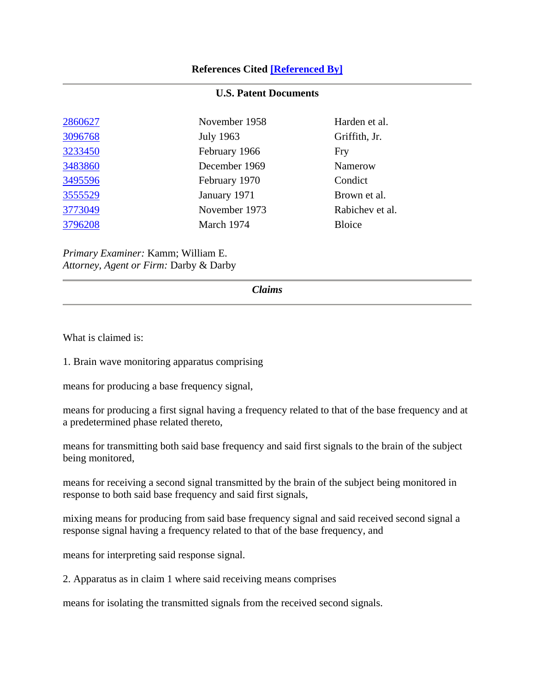## **References Cited [Referenced By]**

#### **U.S. Patent Documents**

| 2860627 | November 1958    | Harden et al.   |
|---------|------------------|-----------------|
| 3096768 | <b>July 1963</b> | Griffith, Jr.   |
| 3233450 | February 1966    | Fry             |
| 3483860 | December 1969    | Namerow         |
| 3495596 | February 1970    | Condict         |
| 3555529 | January 1971     | Brown et al.    |
| 3773049 | November 1973    | Rabichev et al. |
| 3796208 | March 1974       | <b>Bloice</b>   |

*Primary Examiner:* Kamm; William E. *Attorney, Agent or Firm:* Darby & Darby

#### *Claims*

What is claimed is:

1. Brain wave monitoring apparatus comprising

means for producing a base frequency signal,

means for producing a first signal having a frequency related to that of the base frequency and at a predetermined phase related thereto,

means for transmitting both said base frequency and said first signals to the brain of the subject being monitored,

means for receiving a second signal transmitted by the brain of the subject being monitored in response to both said base frequency and said first signals,

mixing means for producing from said base frequency signal and said received second signal a response signal having a frequency related to that of the base frequency, and

means for interpreting said response signal.

2. Apparatus as in claim 1 where said receiving means comprises

means for isolating the transmitted signals from the received second signals.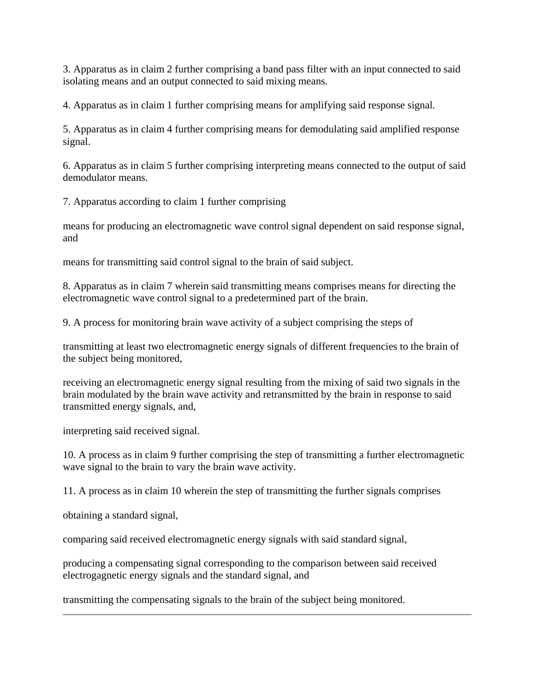3. Apparatus as in claim 2 further comprising a band pass filter with an input connected to said isolating means and an output connected to said mixing means.

4. Apparatus as in claim 1 further comprising means for amplifying said response signal.

5. Apparatus as in claim 4 further comprising means for demodulating said amplified response signal.

6. Apparatus as in claim 5 further comprising interpreting means connected to the output of said demodulator means.

7. Apparatus according to claim 1 further comprising

means for producing an electromagnetic wave control signal dependent on said response signal, and

means for transmitting said control signal to the brain of said subject.

8. Apparatus as in claim 7 wherein said transmitting means comprises means for directing the electromagnetic wave control signal to a predetermined part of the brain.

9. A process for monitoring brain wave activity of a subject comprising the steps of

transmitting at least two electromagnetic energy signals of different frequencies to the brain of the subject being monitored,

receiving an electromagnetic energy signal resulting from the mixing of said two signals in the brain modulated by the brain wave activity and retransmitted by the brain in response to said transmitted energy signals, and,

interpreting said received signal.

10. A process as in claim 9 further comprising the step of transmitting a further electromagnetic wave signal to the brain to vary the brain wave activity.

11. A process as in claim 10 wherein the step of transmitting the further signals comprises

obtaining a standard signal,

comparing said received electromagnetic energy signals with said standard signal,

producing a compensating signal corresponding to the comparison between said received electrogagnetic energy signals and the standard signal, and

transmitting the compensating signals to the brain of the subject being monitored.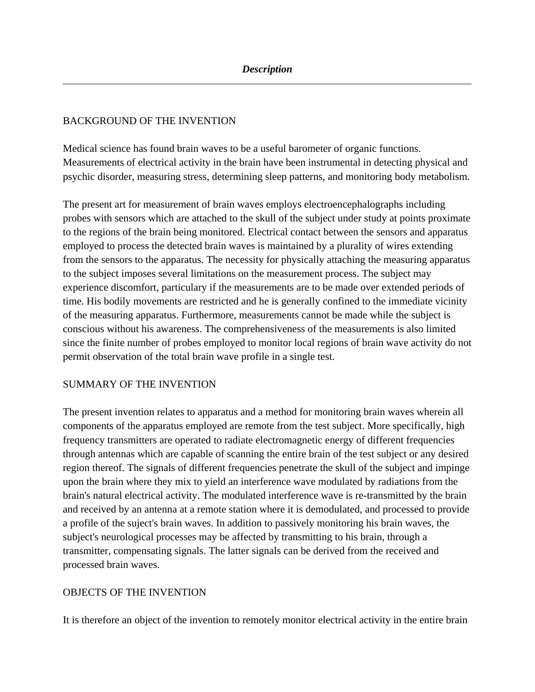## BACKGROUND OF THE INVENTION

Medical science has found brain waves to be a useful barometer of organic functions. Measurements of electrical activity in the brain have been instrumental in detecting physical and psychic disorder, measuring stress, determining sleep patterns, and monitoring body metabolism.

The present art for measurement of brain waves employs electroencephalographs including probes with sensors which are attached to the skull of the subject under study at points proximate to the regions of the brain being monitored. Electrical contact between the sensors and apparatus employed to process the detected brain waves is maintained by a plurality of wires extending from the sensors to the apparatus. The necessity for physically attaching the measuring apparatus to the subject imposes several limitations on the measurement process. The subject may experience discomfort, particulary if the measurements are to be made over extended periods of time. His bodily movements are restricted and he is generally confined to the immediate vicinity of the measuring apparatus. Furthermore, measurements cannot be made while the subject is conscious without his awareness. The comprehensiveness of the measurements is also limited since the finite number of probes employed to monitor local regions of brain wave activity do not permit observation of the total brain wave profile in a single test.

# SUMMARY OF THE INVENTION

The present invention relates to apparatus and a method for monitoring brain waves wherein all components of the apparatus employed are remote from the test subject. More specifically, high frequency transmitters are operated to radiate electromagnetic energy of different frequencies through antennas which are capable of scanning the entire brain of the test subject or any desired region thereof. The signals of different frequencies penetrate the skull of the subject and impinge upon the brain where they mix to yield an interference wave modulated by radiations from the brain's natural electrical activity. The modulated interference wave is re-transmitted by the brain and received by an antenna at a remote station where it is demodulated, and processed to provide a profile of the suject's brain waves. In addition to passively monitoring his brain waves, the subject's neurological processes may be affected by transmitting to his brain, through a transmitter, compensating signals. The latter signals can be derived from the received and processed brain waves.

# OBJECTS OF THE INVENTION

It is therefore an object of the invention to remotely monitor electrical activity in the entire brain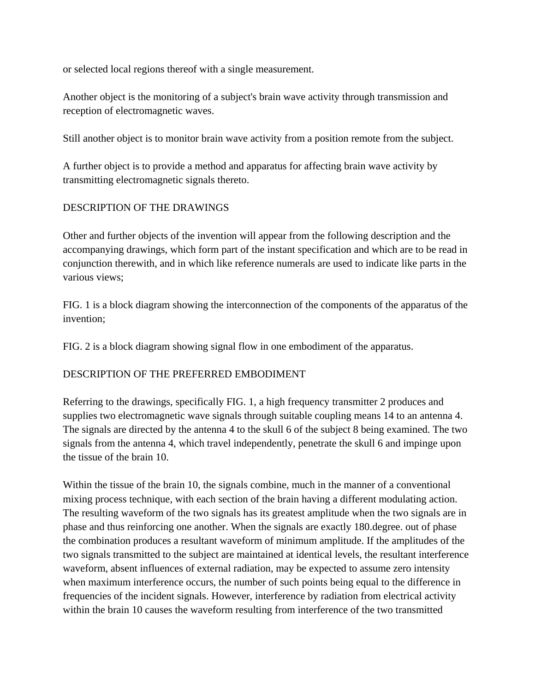or selected local regions thereof with a single measurement.

Another object is the monitoring of a subject's brain wave activity through transmission and reception of electromagnetic waves.

Still another object is to monitor brain wave activity from a position remote from the subject.

A further object is to provide a method and apparatus for affecting brain wave activity by transmitting electromagnetic signals thereto.

# DESCRIPTION OF THE DRAWINGS

Other and further objects of the invention will appear from the following description and the accompanying drawings, which form part of the instant specification and which are to be read in conjunction therewith, and in which like reference numerals are used to indicate like parts in the various views;

FIG. 1 is a block diagram showing the interconnection of the components of the apparatus of the invention;

FIG. 2 is a block diagram showing signal flow in one embodiment of the apparatus.

# DESCRIPTION OF THE PREFERRED EMBODIMENT

Referring to the drawings, specifically FIG. 1, a high frequency transmitter 2 produces and supplies two electromagnetic wave signals through suitable coupling means 14 to an antenna 4. The signals are directed by the antenna 4 to the skull 6 of the subject 8 being examined. The two signals from the antenna 4, which travel independently, penetrate the skull 6 and impinge upon the tissue of the brain 10.

Within the tissue of the brain 10, the signals combine, much in the manner of a conventional mixing process technique, with each section of the brain having a different modulating action. The resulting waveform of the two signals has its greatest amplitude when the two signals are in phase and thus reinforcing one another. When the signals are exactly 180.degree. out of phase the combination produces a resultant waveform of minimum amplitude. If the amplitudes of the two signals transmitted to the subject are maintained at identical levels, the resultant interference waveform, absent influences of external radiation, may be expected to assume zero intensity when maximum interference occurs, the number of such points being equal to the difference in frequencies of the incident signals. However, interference by radiation from electrical activity within the brain 10 causes the waveform resulting from interference of the two transmitted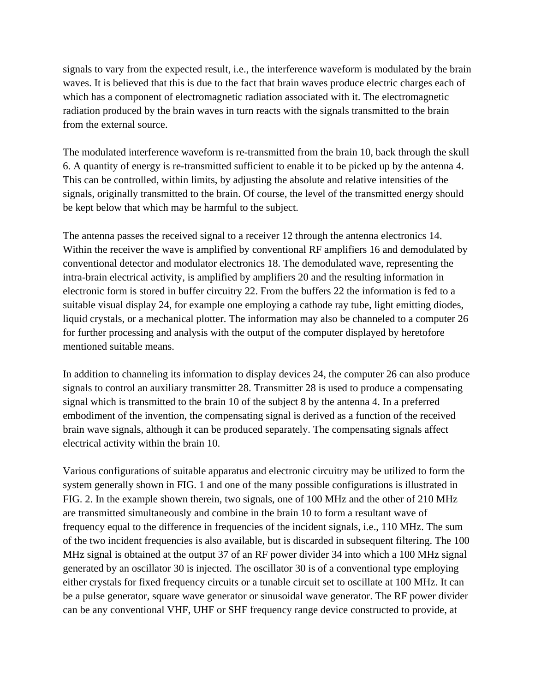signals to vary from the expected result, i.e., the interference waveform is modulated by the brain waves. It is believed that this is due to the fact that brain waves produce electric charges each of which has a component of electromagnetic radiation associated with it. The electromagnetic radiation produced by the brain waves in turn reacts with the signals transmitted to the brain from the external source.

The modulated interference waveform is re-transmitted from the brain 10, back through the skull 6. A quantity of energy is re-transmitted sufficient to enable it to be picked up by the antenna 4. This can be controlled, within limits, by adjusting the absolute and relative intensities of the signals, originally transmitted to the brain. Of course, the level of the transmitted energy should be kept below that which may be harmful to the subject.

The antenna passes the received signal to a receiver 12 through the antenna electronics 14. Within the receiver the wave is amplified by conventional RF amplifiers 16 and demodulated by conventional detector and modulator electronics 18. The demodulated wave, representing the intra-brain electrical activity, is amplified by amplifiers 20 and the resulting information in electronic form is stored in buffer circuitry 22. From the buffers 22 the information is fed to a suitable visual display 24, for example one employing a cathode ray tube, light emitting diodes, liquid crystals, or a mechanical plotter. The information may also be channeled to a computer 26 for further processing and analysis with the output of the computer displayed by heretofore mentioned suitable means.

In addition to channeling its information to display devices 24, the computer 26 can also produce signals to control an auxiliary transmitter 28. Transmitter 28 is used to produce a compensating signal which is transmitted to the brain 10 of the subject 8 by the antenna 4. In a preferred embodiment of the invention, the compensating signal is derived as a function of the received brain wave signals, although it can be produced separately. The compensating signals affect electrical activity within the brain 10.

Various configurations of suitable apparatus and electronic circuitry may be utilized to form the system generally shown in FIG. 1 and one of the many possible configurations is illustrated in FIG. 2. In the example shown therein, two signals, one of 100 MHz and the other of 210 MHz are transmitted simultaneously and combine in the brain 10 to form a resultant wave of frequency equal to the difference in frequencies of the incident signals, i.e., 110 MHz. The sum of the two incident frequencies is also available, but is discarded in subsequent filtering. The 100 MHz signal is obtained at the output 37 of an RF power divider 34 into which a 100 MHz signal generated by an oscillator 30 is injected. The oscillator 30 is of a conventional type employing either crystals for fixed frequency circuits or a tunable circuit set to oscillate at 100 MHz. It can be a pulse generator, square wave generator or sinusoidal wave generator. The RF power divider can be any conventional VHF, UHF or SHF frequency range device constructed to provide, at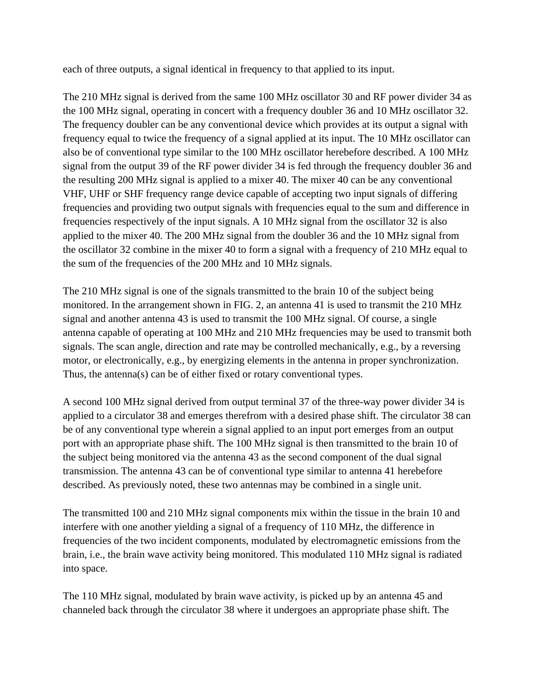each of three outputs, a signal identical in frequency to that applied to its input.

The 210 MHz signal is derived from the same 100 MHz oscillator 30 and RF power divider 34 as the 100 MHz signal, operating in concert with a frequency doubler 36 and 10 MHz oscillator 32. The frequency doubler can be any conventional device which provides at its output a signal with frequency equal to twice the frequency of a signal applied at its input. The 10 MHz oscillator can also be of conventional type similar to the 100 MHz oscillator herebefore described. A 100 MHz signal from the output 39 of the RF power divider 34 is fed through the frequency doubler 36 and the resulting 200 MHz signal is applied to a mixer 40. The mixer 40 can be any conventional VHF, UHF or SHF frequency range device capable of accepting two input signals of differing frequencies and providing two output signals with frequencies equal to the sum and difference in frequencies respectively of the input signals. A 10 MHz signal from the oscillator 32 is also applied to the mixer 40. The 200 MHz signal from the doubler 36 and the 10 MHz signal from the oscillator 32 combine in the mixer 40 to form a signal with a frequency of 210 MHz equal to the sum of the frequencies of the 200 MHz and 10 MHz signals.

The 210 MHz signal is one of the signals transmitted to the brain 10 of the subject being monitored. In the arrangement shown in FIG. 2, an antenna 41 is used to transmit the 210 MHz signal and another antenna 43 is used to transmit the 100 MHz signal. Of course, a single antenna capable of operating at 100 MHz and 210 MHz frequencies may be used to transmit both signals. The scan angle, direction and rate may be controlled mechanically, e.g., by a reversing motor, or electronically, e.g., by energizing elements in the antenna in proper synchronization. Thus, the antenna(s) can be of either fixed or rotary conventional types.

A second 100 MHz signal derived from output terminal 37 of the three-way power divider 34 is applied to a circulator 38 and emerges therefrom with a desired phase shift. The circulator 38 can be of any conventional type wherein a signal applied to an input port emerges from an output port with an appropriate phase shift. The 100 MHz signal is then transmitted to the brain 10 of the subject being monitored via the antenna 43 as the second component of the dual signal transmission. The antenna 43 can be of conventional type similar to antenna 41 herebefore described. As previously noted, these two antennas may be combined in a single unit.

The transmitted 100 and 210 MHz signal components mix within the tissue in the brain 10 and interfere with one another yielding a signal of a frequency of 110 MHz, the difference in frequencies of the two incident components, modulated by electromagnetic emissions from the brain, i.e., the brain wave activity being monitored. This modulated 110 MHz signal is radiated into space.

The 110 MHz signal, modulated by brain wave activity, is picked up by an antenna 45 and channeled back through the circulator 38 where it undergoes an appropriate phase shift. The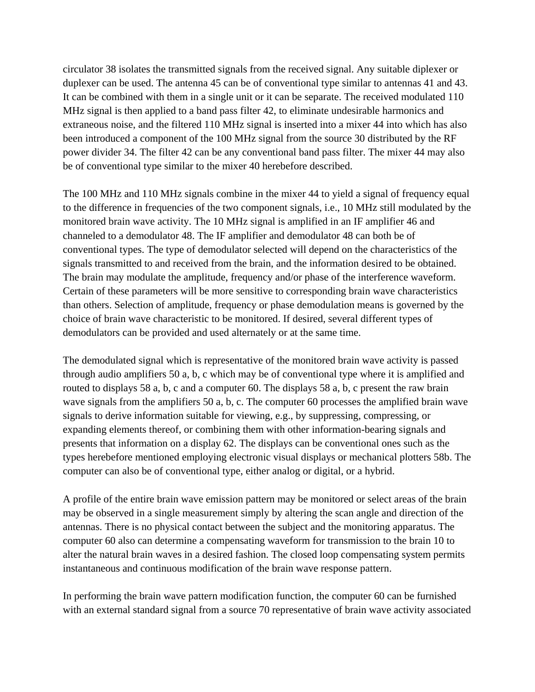circulator 38 isolates the transmitted signals from the received signal. Any suitable diplexer or duplexer can be used. The antenna 45 can be of conventional type similar to antennas 41 and 43. It can be combined with them in a single unit or it can be separate. The received modulated 110 MHz signal is then applied to a band pass filter 42, to eliminate undesirable harmonics and extraneous noise, and the filtered 110 MHz signal is inserted into a mixer 44 into which has also been introduced a component of the 100 MHz signal from the source 30 distributed by the RF power divider 34. The filter 42 can be any conventional band pass filter. The mixer 44 may also be of conventional type similar to the mixer 40 herebefore described.

The 100 MHz and 110 MHz signals combine in the mixer 44 to yield a signal of frequency equal to the difference in frequencies of the two component signals, i.e., 10 MHz still modulated by the monitored brain wave activity. The 10 MHz signal is amplified in an IF amplifier 46 and channeled to a demodulator 48. The IF amplifier and demodulator 48 can both be of conventional types. The type of demodulator selected will depend on the characteristics of the signals transmitted to and received from the brain, and the information desired to be obtained. The brain may modulate the amplitude, frequency and/or phase of the interference waveform. Certain of these parameters will be more sensitive to corresponding brain wave characteristics than others. Selection of amplitude, frequency or phase demodulation means is governed by the choice of brain wave characteristic to be monitored. If desired, several different types of demodulators can be provided and used alternately or at the same time.

The demodulated signal which is representative of the monitored brain wave activity is passed through audio amplifiers 50 a, b, c which may be of conventional type where it is amplified and routed to displays 58 a, b, c and a computer 60. The displays 58 a, b, c present the raw brain wave signals from the amplifiers 50 a, b, c. The computer 60 processes the amplified brain wave signals to derive information suitable for viewing, e.g., by suppressing, compressing, or expanding elements thereof, or combining them with other information-bearing signals and presents that information on a display 62. The displays can be conventional ones such as the types herebefore mentioned employing electronic visual displays or mechanical plotters 58b. The computer can also be of conventional type, either analog or digital, or a hybrid.

A profile of the entire brain wave emission pattern may be monitored or select areas of the brain may be observed in a single measurement simply by altering the scan angle and direction of the antennas. There is no physical contact between the subject and the monitoring apparatus. The computer 60 also can determine a compensating waveform for transmission to the brain 10 to alter the natural brain waves in a desired fashion. The closed loop compensating system permits instantaneous and continuous modification of the brain wave response pattern.

In performing the brain wave pattern modification function, the computer 60 can be furnished with an external standard signal from a source 70 representative of brain wave activity associated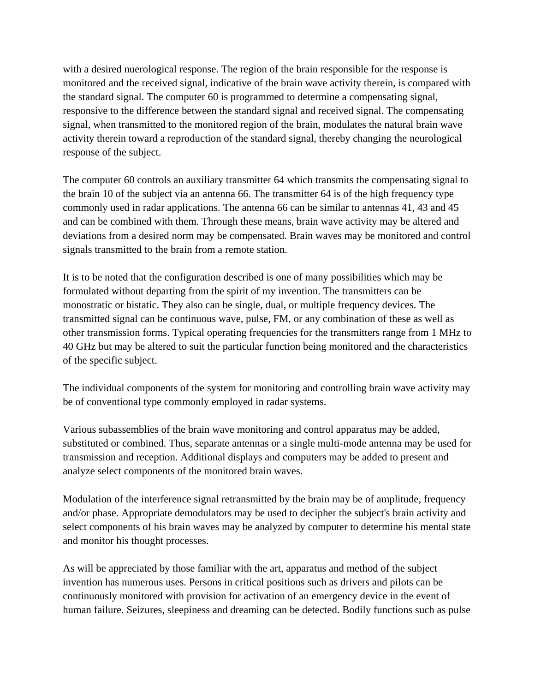with a desired nuerological response. The region of the brain responsible for the response is monitored and the received signal, indicative of the brain wave activity therein, is compared with the standard signal. The computer 60 is programmed to determine a compensating signal, responsive to the difference between the standard signal and received signal. The compensating signal, when transmitted to the monitored region of the brain, modulates the natural brain wave activity therein toward a reproduction of the standard signal, thereby changing the neurological response of the subject.

The computer 60 controls an auxiliary transmitter 64 which transmits the compensating signal to the brain 10 of the subject via an antenna 66. The transmitter 64 is of the high frequency type commonly used in radar applications. The antenna 66 can be similar to antennas 41, 43 and 45 and can be combined with them. Through these means, brain wave activity may be altered and deviations from a desired norm may be compensated. Brain waves may be monitored and control signals transmitted to the brain from a remote station.

It is to be noted that the configuration described is one of many possibilities which may be formulated without departing from the spirit of my invention. The transmitters can be monostratic or bistatic. They also can be single, dual, or multiple frequency devices. The transmitted signal can be continuous wave, pulse, FM, or any combination of these as well as other transmission forms. Typical operating frequencies for the transmitters range from 1 MHz to 40 GHz but may be altered to suit the particular function being monitored and the characteristics of the specific subject.

The individual components of the system for monitoring and controlling brain wave activity may be of conventional type commonly employed in radar systems.

Various subassemblies of the brain wave monitoring and control apparatus may be added, substituted or combined. Thus, separate antennas or a single multi-mode antenna may be used for transmission and reception. Additional displays and computers may be added to present and analyze select components of the monitored brain waves.

Modulation of the interference signal retransmitted by the brain may be of amplitude, frequency and/or phase. Appropriate demodulators may be used to decipher the subject's brain activity and select components of his brain waves may be analyzed by computer to determine his mental state and monitor his thought processes.

As will be appreciated by those familiar with the art, apparatus and method of the subject invention has numerous uses. Persons in critical positions such as drivers and pilots can be continuously monitored with provision for activation of an emergency device in the event of human failure. Seizures, sleepiness and dreaming can be detected. Bodily functions such as pulse